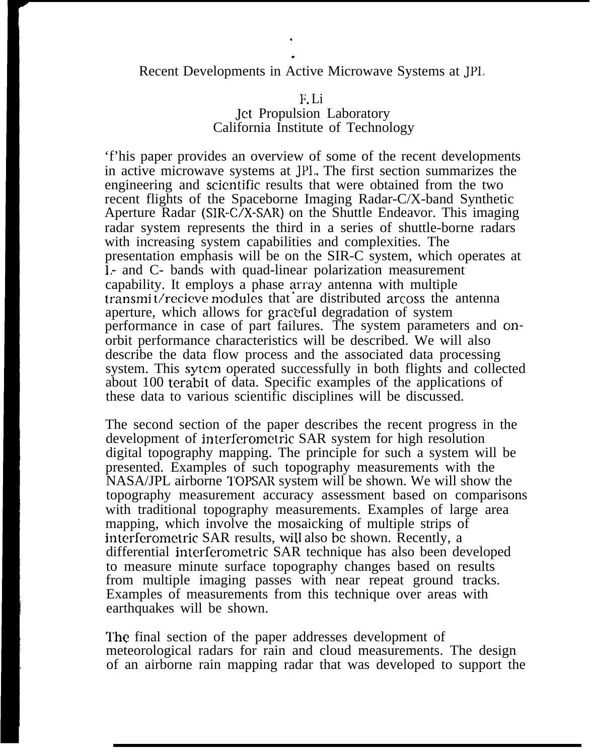## Recent Developments in Active Microwave Systems at JPI,

. .

## F. Li

## Jet Propulsion Laboratory California Institute of Technology

'f'his paper provides an overview of some of the recent developments in active microwave systems at JPI,. The first section summarizes the engineering and scicmtific results that were obtained from the two recent flights of the Spaceborne Imaging Radar-C/X-band Synthetic Aperture Radar (SIR-C/X-SAR) on the Shuttle Endeavor. This imaging radar system represents the third in a series of shuttle-borne radars with increasing system capabilities and complexities. The presentation emphasis will be on the SIR-C system, which operates at 1,- and C- bands with quad-linear polarization measurement capability. It employs a phase array antenna with multiple transmit/recieve modules that are distributed arcoss the antenna aperture, which allows for graceful degradation of system performance in case of part failures. The system parameters and onorbit performance characteristics will be described. We will also describe the data flow process and the associated data processing system. This sytem operated successfully in both flights and collected about 100 terabit of data. Specific examples of the applications of these data to various scientific disciplines will be discussed.

The second section of the paper describes the recent progress in the development of interferometric SAR system for high resolution digital topography mapping. The principle for such a system will be presented. Examples of such topography measurements with the NASA/JPL airborne TOPSAR system will be shown. We will show the topography measurement accuracy assessment based on comparisons with traditional topography measurements. Examples of large area mapping, which involve the mosaicking of multiple strips of interferometric SAR results, will also be shown. Recently, a differential interferometric SAR technique has also been developed to measure minute surface topography changes based on results from multiple imaging passes with near repeat ground tracks. Examples of measurements from this technique over areas with earthquakes will be shown.

The final section of the paper addresses development of meteorological radars for rain and cloud measurements. The design of an airborne rain mapping radar that was developed to support the